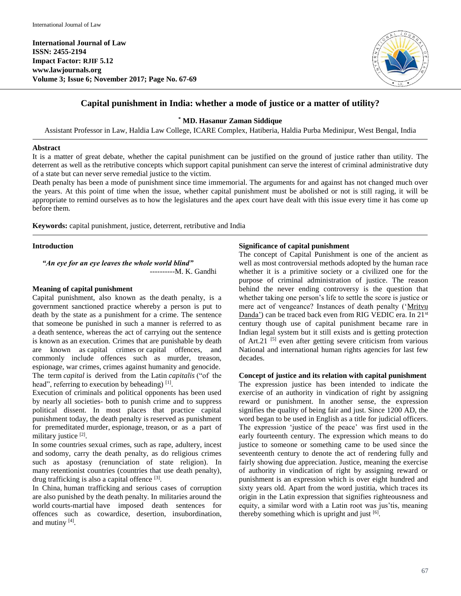**International Journal of Law ISSN: 2455-2194 Impact Factor: RJIF 5.12 www.lawjournals.org Volume 3; Issue 6; November 2017; Page No. 67-69**



# **Capital punishment in India: whether a mode of justice or a matter of utility?**

**\* MD. Hasanur Zaman Siddique**

Assistant Professor in Law, Haldia Law College, ICARE Complex, Hatiberia, Haldia Purba Medinipur, West Bengal, India

#### **Abstract**

It is a matter of great debate, whether the capital punishment can be justified on the ground of justice rather than utility. The deterrent as well as the retributive concepts which support capital punishment can serve the interest of criminal administrative duty of a state but can never serve remedial justice to the victim.

Death penalty has been a mode of punishment since time immemorial. The arguments for and against has not changed much over the years. At this point of time when the issue, whether capital punishment must be abolished or not is still raging, it will be appropriate to remind ourselves as to how the legislatures and the apex court have dealt with this issue every time it has come up before them.

**Keywords:** capital punishment, justice, deterrent, retributive and India

### **Introduction**

*"An eye for an eye leaves the whole world blind"* ----------M. K. Gandhi

# **Meaning of capital punishment**

Capital punishment, also known as the death penalty, is a government sanctioned practice whereby a person is put to death by the state as a punishment for a crime. The sentence that someone be punished in such a manner is referred to as a death sentence, whereas the act of carrying out the sentence is known as an execution. Crimes that are punishable by death are known as capital crimes or capital offences, and commonly include offences such as murder, treason, espionage, war crimes, crimes against humanity and genocide. The term *capital* is derived from the Latin *capitalis* ("of the head", referring to execution by beheading)<sup>[1]</sup>.

Execution of criminals and political opponents has been used by nearly all societies- both to punish crime and to suppress political dissent. In most places that practice capital punishment today, the death penalty is reserved as punishment for premeditated murder, espionage, treason, or as a part of military justice [2].

In some countries sexual crimes, such as rape, adultery, incest and sodomy, carry the death penalty, as do religious crimes such as apostasy (renunciation of state religion). In many retentionist countries (countries that use death penalty), drug trafficking is also a capital offence [3].

In China, human trafficking and serious cases of corruption are also punished by the death penalty. In militaries around the world courts-martial have imposed death sentences for offences such as cowardice, desertion, insubordination, and mutiny  $[4]$ .

# **Significance of capital punishment**

The concept of Capital Punishment is one of the ancient as well as most controversial methods adopted by the human race whether it is a primitive society or a civilized one for the purpose of criminal administration of justice. The reason behind the never ending controversy is the question that whether taking one person's life to settle the score is justice or mere act of vengeance? Instances of death penalty ('Mritvu Danda') can be traced back even from RIG VEDIC era. In 21<sup>st</sup> century though use of capital punishment became rare in Indian legal system but it still exists and is getting protection of Art.21<sup>[5]</sup> even after getting severe criticism from various National and international human rights agencies for last few decades.

#### **Concept of justice and its relation with capital punishment**

The expression justice has been intended to indicate the exercise of an authority in vindication of right by assigning reward or punishment. In another sense, the expression signifies the quality of being fair and just. Since 1200 AD, the word began to be used in English as a title for judicial officers. The expression 'justice of the peace' was first used in the early fourteenth century. The expression which means to do justice to someone or something came to be used since the seventeenth century to denote the act of rendering fully and fairly showing due appreciation. Justice, meaning the exercise of authority in vindication of right by assigning reward or punishment is an expression which is over eight hundred and sixty years old. Apart from the word justitia, which traces its origin in the Latin expression that signifies righteousness and equity, a similar word with a Latin root was jus'tis, meaning thereby something which is upright and just  $[6]$ .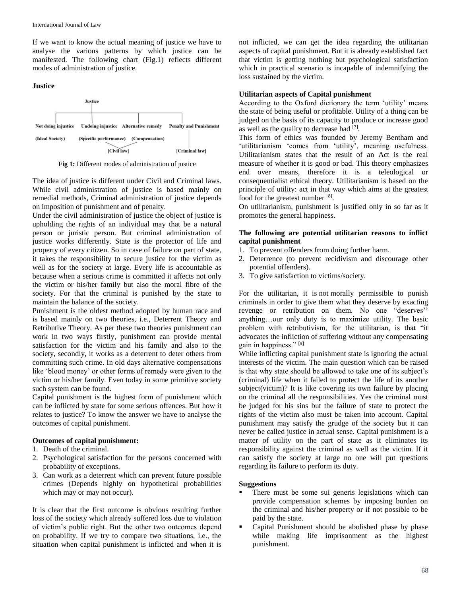If we want to know the actual meaning of justice we have to analyse the various patterns by which justice can be manifested. The following chart (Fig.1) reflects different modes of administration of justice.

#### **Justice**



**Fig 1:** Different modes of administration of justice

The idea of justice is different under Civil and Criminal laws. While civil administration of justice is based mainly on remedial methods, Criminal administration of justice depends on imposition of punishment and of penalty.

Under the civil administration of justice the object of justice is upholding the rights of an individual may that be a natural person or juristic person. But criminal administration of justice works differently. State is the protector of life and property of every citizen. So in case of failure on part of state, it takes the responsibility to secure justice for the victim as well as for the society at large. Every life is accountable as because when a serious crime is committed it affects not only the victim or his/her family but also the moral fibre of the society. For that the criminal is punished by the state to maintain the balance of the society.

Punishment is the oldest method adopted by human race and is based mainly on two theories, i.e., Deterrent Theory and Retributive Theory. As per these two theories punishment can work in two ways firstly, punishment can provide mental satisfaction for the victim and his family and also to the society, secondly, it works as a deterrent to deter others from committing such crime. In old days alternative compensations like 'blood money' or other forms of remedy were given to the victim or his/her family. Even today in some primitive society such system can be found.

Capital punishment is the highest form of punishment which can be inflicted by state for some serious offences. But how it relates to justice? To know the answer we have to analyse the outcomes of capital punishment.

#### **Outcomes of capital punishment:**

- 1. Death of the criminal.
- 2. Psychological satisfaction for the persons concerned with probability of exceptions.
- 3. Can work as a deterrent which can prevent future possible crimes (Depends highly on hypothetical probabilities which may or may not occur).

It is clear that the first outcome is obvious resulting further loss of the society which already suffered loss due to violation of victim's public right. But the other two outcomes depend on probability. If we try to compare two situations, i.e., the situation when capital punishment is inflicted and when it is

not inflicted, we can get the idea regarding the utilitarian aspects of capital punishment. But it is already established fact that victim is getting nothing but psychological satisfaction which in practical scenario is incapable of indemnifying the loss sustained by the victim.

# **Utilitarian aspects of Capital punishment**

According to the Oxford dictionary the term 'utility' means the state of being useful or profitable. Utility of a thing can be judged on the basis of its capacity to produce or increase good as well as the quality to decrease bad [7].

This form of ethics was founded by Jeremy Bentham and 'utilitarianism 'comes from 'utility', meaning usefulness. Utilitarianism states that the result of an Act is the real measure of whether it is good or bad. This theory emphasizes end over means, therefore it is a teleological or consequentialist ethical theory. Utilitarianism is based on the principle of utility: act in that way which aims at the greatest food for the greatest number [8].

On utilitarianism, punishment is justified only in so far as it promotes the general happiness.

# **The following are potential utilitarian reasons to inflict capital punishment**

- 1. To prevent offenders from doing further harm.
- 2. Deterrence (to prevent recidivism and discourage other potential offenders).
- 3. To give satisfaction to victims/society.

For the utilitarian, it is not morally permissible to punish criminals in order to give them what they deserve by exacting revenge or retribution on them. No one "deserves'' anything…our only duty is to maximize utility. The basic problem with retributivism, for the utilitarian, is that "it advocates the infliction of suffering without any compensating gain in happiness." [9]

While inflicting capital punishment state is ignoring the actual interests of the victim. The main question which can be raised is that why state should be allowed to take one of its subject's (criminal) life when it failed to protect the life of its another subject(victim)? It is like covering its own failure by placing on the criminal all the responsibilities. Yes the criminal must be judged for his sins but the failure of state to protect the rights of the victim also must be taken into account. Capital punishment may satisfy the grudge of the society but it can never be called justice in actual sense. Capital punishment is a matter of utility on the part of state as it eliminates its responsibility against the criminal as well as the victim. If it can satisfy the society at large no one will put questions regarding its failure to perform its duty.

#### **Suggestions**

- There must be some sui generis legislations which can provide compensation schemes by imposing burden on the criminal and his/her property or if not possible to be paid by the state.
- Capital Punishment should be abolished phase by phase while making life imprisonment as the highest punishment.